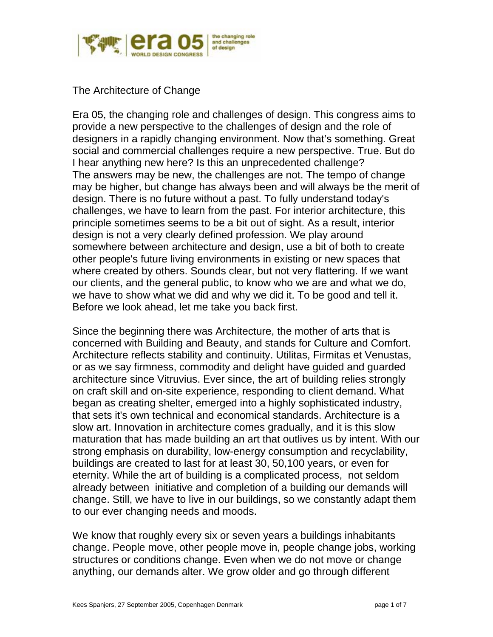

The Architecture of Change

Era 05, the changing role and challenges of design. This congress aims to provide a new perspective to the challenges of design and the role of designers in a rapidly changing environment. Now that's something. Great social and commercial challenges require a new perspective. True. But do I hear anything new here? Is this an unprecedented challenge? The answers may be new, the challenges are not. The tempo of change may be higher, but change has always been and will always be the merit of design. There is no future without a past. To fully understand today's challenges, we have to learn from the past. For interior architecture, this principle sometimes seems to be a bit out of sight. As a result, interior design is not a very clearly defined profession. We play around somewhere between architecture and design, use a bit of both to create other people's future living environments in existing or new spaces that where created by others. Sounds clear, but not very flattering. If we want our clients, and the general public, to know who we are and what we do, we have to show what we did and why we did it. To be good and tell it. Before we look ahead, let me take you back first.

Since the beginning there was Architecture, the mother of arts that is concerned with Building and Beauty, and stands for Culture and Comfort. Architecture reflects stability and continuity. Utilitas, Firmitas et Venustas, or as we say firmness, commodity and delight have guided and guarded architecture since Vitruvius. Ever since, the art of building relies strongly on craft skill and on-site experience, responding to client demand. What began as creating shelter, emerged into a highly sophisticated industry, that sets it's own technical and economical standards. Architecture is a slow art. Innovation in architecture comes gradually, and it is this slow maturation that has made building an art that outlives us by intent. With our strong emphasis on durability, low-energy consumption and recyclability, buildings are created to last for at least 30, 50,100 years, or even for eternity. While the art of building is a complicated process, not seldom already between initiative and completion of a building our demands will change. Still, we have to live in our buildings, so we constantly adapt them to our ever changing needs and moods.

We know that roughly every six or seven years a buildings inhabitants change. People move, other people move in, people change jobs, working structures or conditions change. Even when we do not move or change anything, our demands alter. We grow older and go through different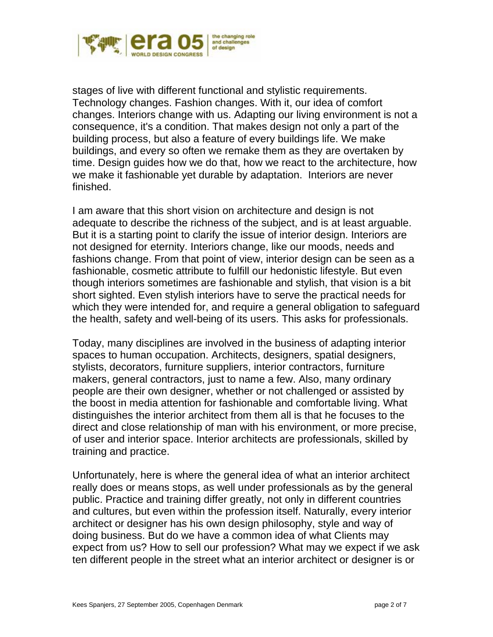

stages of live with different functional and stylistic requirements. Technology changes. Fashion changes. With it, our idea of comfort changes. Interiors change with us. Adapting our living environment is not a consequence, it's a condition. That makes design not only a part of the building process, but also a feature of every buildings life. We make buildings, and every so often we remake them as they are overtaken by time. Design guides how we do that, how we react to the architecture, how we make it fashionable yet durable by adaptation. Interiors are never finished.

I am aware that this short vision on architecture and design is not adequate to describe the richness of the subject, and is at least arguable. But it is a starting point to clarify the issue of interior design. Interiors are not designed for eternity. Interiors change, like our moods, needs and fashions change. From that point of view, interior design can be seen as a fashionable, cosmetic attribute to fulfill our hedonistic lifestyle. But even though interiors sometimes are fashionable and stylish, that vision is a bit short sighted. Even stylish interiors have to serve the practical needs for which they were intended for, and require a general obligation to safeguard the health, safety and well-being of its users. This asks for professionals.

Today, many disciplines are involved in the business of adapting interior spaces to human occupation. Architects, designers, spatial designers, stylists, decorators, furniture suppliers, interior contractors, furniture makers, general contractors, just to name a few. Also, many ordinary people are their own designer, whether or not challenged or assisted by the boost in media attention for fashionable and comfortable living. What distinguishes the interior architect from them all is that he focuses to the direct and close relationship of man with his environment, or more precise, of user and interior space. Interior architects are professionals, skilled by training and practice.

Unfortunately, here is where the general idea of what an interior architect really does or means stops, as well under professionals as by the general public. Practice and training differ greatly, not only in different countries and cultures, but even within the profession itself. Naturally, every interior architect or designer has his own design philosophy, style and way of doing business. But do we have a common idea of what Clients may expect from us? How to sell our profession? What may we expect if we ask ten different people in the street what an interior architect or designer is or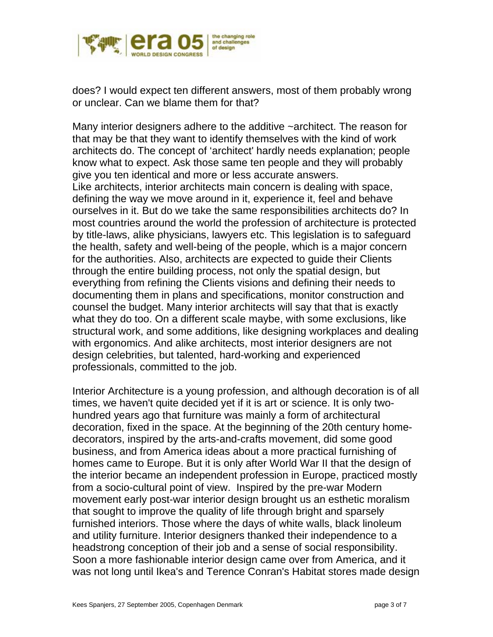

does? I would expect ten different answers, most of them probably wrong or unclear. Can we blame them for that?

Many interior designers adhere to the additive ~architect. The reason for that may be that they want to identify themselves with the kind of work architects do. The concept of 'architect' hardly needs explanation; people know what to expect. Ask those same ten people and they will probably give you ten identical and more or less accurate answers. Like architects, interior architects main concern is dealing with space, defining the way we move around in it, experience it, feel and behave ourselves in it. But do we take the same responsibilities architects do? In most countries around the world the profession of architecture is protected by title-laws, alike physicians, lawyers etc. This legislation is to safeguard the health, safety and well-being of the people, which is a major concern for the authorities. Also, architects are expected to guide their Clients through the entire building process, not only the spatial design, but everything from refining the Clients visions and defining their needs to documenting them in plans and specifications, monitor construction and counsel the budget. Many interior architects will say that that is exactly what they do too. On a different scale maybe, with some exclusions, like structural work, and some additions, like designing workplaces and dealing with ergonomics. And alike architects, most interior designers are not design celebrities, but talented, hard-working and experienced professionals, committed to the job.

Interior Architecture is a young profession, and although decoration is of all times, we haven't quite decided yet if it is art or science. It is only twohundred years ago that furniture was mainly a form of architectural decoration, fixed in the space. At the beginning of the 20th century homedecorators, inspired by the arts-and-crafts movement, did some good business, and from America ideas about a more practical furnishing of homes came to Europe. But it is only after World War II that the design of the interior became an independent profession in Europe, practiced mostly from a socio-cultural point of view. Inspired by the pre-war Modern movement early post-war interior design brought us an esthetic moralism that sought to improve the quality of life through bright and sparsely furnished interiors. Those where the days of white walls, black linoleum and utility furniture. Interior designers thanked their independence to a headstrong conception of their job and a sense of social responsibility. Soon a more fashionable interior design came over from America, and it was not long until Ikea's and Terence Conran's Habitat stores made design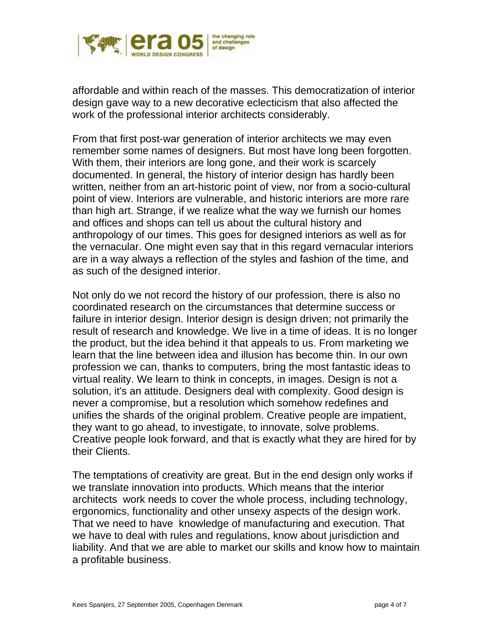

affordable and within reach of the masses. This democratization of interior design gave way to a new decorative eclecticism that also affected the work of the professional interior architects considerably.

From that first post-war generation of interior architects we may even remember some names of designers. But most have long been forgotten. With them, their interiors are long gone, and their work is scarcely documented. In general, the history of interior design has hardly been written, neither from an art-historic point of view, nor from a socio-cultural point of view. Interiors are vulnerable, and historic interiors are more rare than high art. Strange, if we realize what the way we furnish our homes and offices and shops can tell us about the cultural history and anthropology of our times. This goes for designed interiors as well as for the vernacular. One might even say that in this regard vernacular interiors are in a way always a reflection of the styles and fashion of the time, and as such of the designed interior.

Not only do we not record the history of our profession, there is also no coordinated research on the circumstances that determine success or failure in interior design. Interior design is design driven; not primarily the result of research and knowledge. We live in a time of ideas. It is no longer the product, but the idea behind it that appeals to us. From marketing we learn that the line between idea and illusion has become thin. In our own profession we can, thanks to computers, bring the most fantastic ideas to virtual reality. We learn to think in concepts, in images. Design is not a solution, it's an attitude. Designers deal with complexity. Good design is never a compromise, but a resolution which somehow redefines and unifies the shards of the original problem. Creative people are impatient, they want to go ahead, to investigate, to innovate, solve problems. Creative people look forward, and that is exactly what they are hired for by their Clients.

The temptations of creativity are great. But in the end design only works if we translate innovation into products. Which means that the interior architects work needs to cover the whole process, including technology, ergonomics, functionality and other unsexy aspects of the design work. That we need to have knowledge of manufacturing and execution. That we have to deal with rules and regulations, know about jurisdiction and liability. And that we are able to market our skills and know how to maintain a profitable business.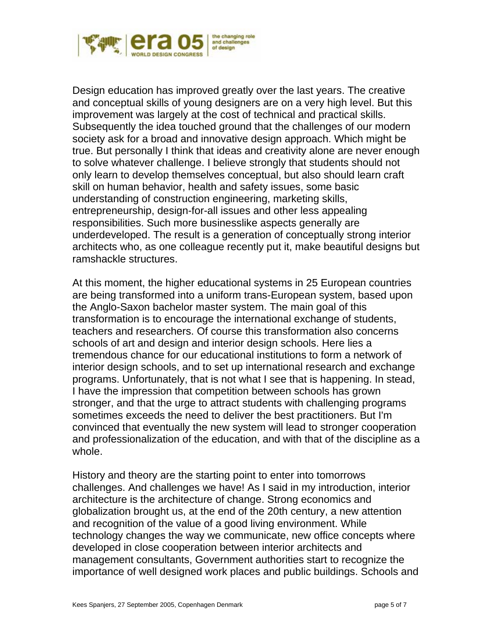

Design education has improved greatly over the last years. The creative and conceptual skills of young designers are on a very high level. But this improvement was largely at the cost of technical and practical skills. Subsequently the idea touched ground that the challenges of our modern society ask for a broad and innovative design approach. Which might be true. But personally I think that ideas and creativity alone are never enough to solve whatever challenge. I believe strongly that students should not only learn to develop themselves conceptual, but also should learn craft skill on human behavior, health and safety issues, some basic understanding of construction engineering, marketing skills, entrepreneurship, design-for-all issues and other less appealing responsibilities. Such more businesslike aspects generally are underdeveloped. The result is a generation of conceptually strong interior architects who, as one colleague recently put it, make beautiful designs but ramshackle structures.

At this moment, the higher educational systems in 25 European countries are being transformed into a uniform trans-European system, based upon the Anglo-Saxon bachelor master system. The main goal of this transformation is to encourage the international exchange of students, teachers and researchers. Of course this transformation also concerns schools of art and design and interior design schools. Here lies a tremendous chance for our educational institutions to form a network of interior design schools, and to set up international research and exchange programs. Unfortunately, that is not what I see that is happening. In stead, I have the impression that competition between schools has grown stronger, and that the urge to attract students with challenging programs sometimes exceeds the need to deliver the best practitioners. But I'm convinced that eventually the new system will lead to stronger cooperation and professionalization of the education, and with that of the discipline as a whole.

History and theory are the starting point to enter into tomorrows challenges. And challenges we have! As I said in my introduction, interior architecture is the architecture of change. Strong economics and globalization brought us, at the end of the 20th century, a new attention and recognition of the value of a good living environment. While technology changes the way we communicate, new office concepts where developed in close cooperation between interior architects and management consultants, Government authorities start to recognize the importance of well designed work places and public buildings. Schools and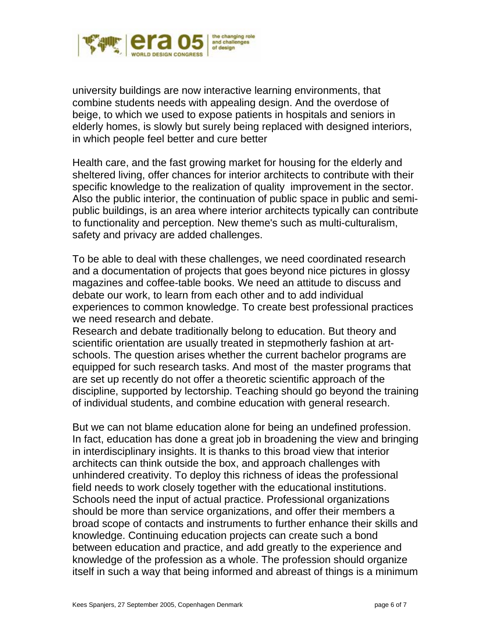

university buildings are now interactive learning environments, that combine students needs with appealing design. And the overdose of beige, to which we used to expose patients in hospitals and seniors in elderly homes, is slowly but surely being replaced with designed interiors, in which people feel better and cure better

Health care, and the fast growing market for housing for the elderly and sheltered living, offer chances for interior architects to contribute with their specific knowledge to the realization of quality improvement in the sector. Also the public interior, the continuation of public space in public and semipublic buildings, is an area where interior architects typically can contribute to functionality and perception. New theme's such as multi-culturalism, safety and privacy are added challenges.

To be able to deal with these challenges, we need coordinated research and a documentation of projects that goes beyond nice pictures in glossy magazines and coffee-table books. We need an attitude to discuss and debate our work, to learn from each other and to add individual experiences to common knowledge. To create best professional practices we need research and debate.

Research and debate traditionally belong to education. But theory and scientific orientation are usually treated in stepmotherly fashion at artschools. The question arises whether the current bachelor programs are equipped for such research tasks. And most of the master programs that are set up recently do not offer a theoretic scientific approach of the discipline, supported by lectorship. Teaching should go beyond the training of individual students, and combine education with general research.

But we can not blame education alone for being an undefined profession. In fact, education has done a great job in broadening the view and bringing in interdisciplinary insights. It is thanks to this broad view that interior architects can think outside the box, and approach challenges with unhindered creativity. To deploy this richness of ideas the professional field needs to work closely together with the educational institutions. Schools need the input of actual practice. Professional organizations should be more than service organizations, and offer their members a broad scope of contacts and instruments to further enhance their skills and knowledge. Continuing education projects can create such a bond between education and practice, and add greatly to the experience and knowledge of the profession as a whole. The profession should organize itself in such a way that being informed and abreast of things is a minimum